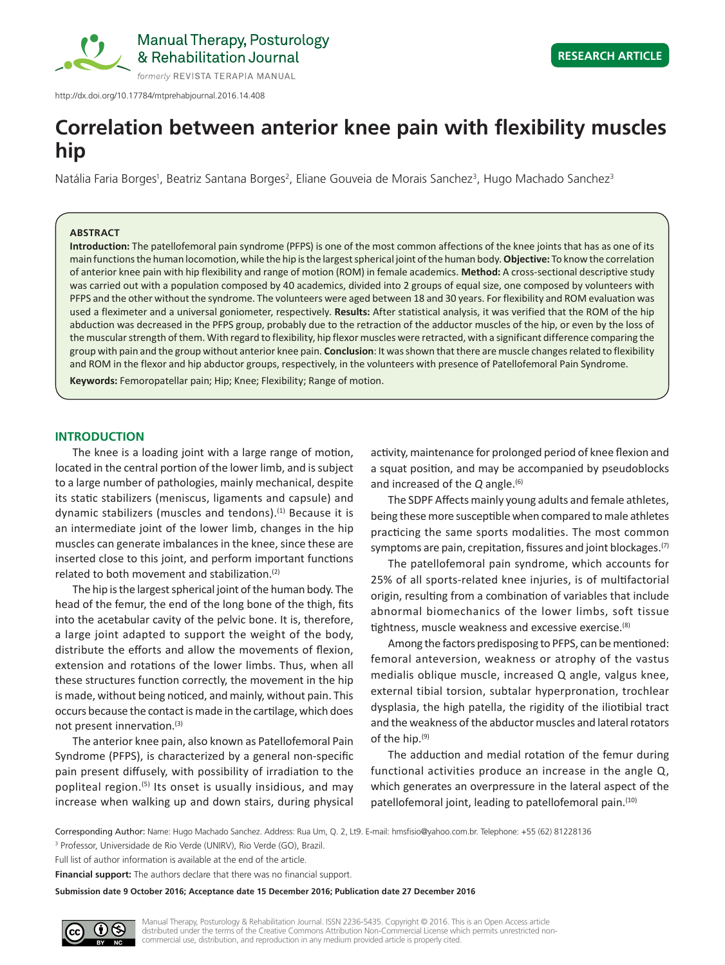

http://dx.doi.org/10.17784/mtprehabjournal.2016.14.408

# **Correlation between anterior knee pain with flexibility muscles hip**

Natália Faria Borges<sup>1</sup>, Beatriz Santana Borges<sup>2</sup>, Eliane Gouveia de Morais Sanchez<sup>3</sup>, Hugo Machado Sanchez<sup>3</sup>

## **ABSTRACT**

**Introduction:** The patellofemoral pain syndrome (PFPS) is one of the most common affections of the knee joints that has as one of its main functions the human locomotion, while the hip is the largest spherical joint of the human body. **Objective:** To know the correlation of anterior knee pain with hip flexibility and range of motion (ROM) in female academics. **Method:** A cross-sectional descriptive study was carried out with a population composed by 40 academics, divided into 2 groups of equal size, one composed by volunteers with PFPS and the other without the syndrome. The volunteers were aged between 18 and 30 years. For flexibility and ROM evaluation was used a fleximeter and a universal goniometer, respectively. **Results:** After statistical analysis, it was verified that the ROM of the hip abduction was decreased in the PFPS group, probably due to the retraction of the adductor muscles of the hip, or even by the loss of the muscular strength of them. With regard to flexibility, hip flexor muscles were retracted, with a significant difference comparing the group with pain and the group without anterior knee pain. **Conclusion**: It was shown that there are muscle changes related to flexibility and ROM in the flexor and hip abductor groups, respectively, in the volunteers with presence of Patellofemoral Pain Syndrome.

**Keywords:** Femoropatellar pain; Hip; Knee; Flexibility; Range of motion.

## **INTRODUCTION**

The knee is a loading joint with a large range of motion, located in the central portion of the lower limb, and is subject to a large number of pathologies, mainly mechanical, despite its static stabilizers (meniscus, ligaments and capsule) and dynamic stabilizers (muscles and tendons).<sup>(1)</sup> Because it is an intermediate joint of the lower limb, changes in the hip muscles can generate imbalances in the knee, since these are inserted close to this joint, and perform important functions related to both movement and stabilization.<sup>(2)</sup>

The hip is the largest spherical joint of the human body. The head of the femur, the end of the long bone of the thigh, fits into the acetabular cavity of the pelvic bone. It is, therefore, a large joint adapted to support the weight of the body, distribute the efforts and allow the movements of flexion, extension and rotations of the lower limbs. Thus, when all these structures function correctly, the movement in the hip is made, without being noticed, and mainly, without pain. This occurs because the contact is made in the cartilage, which does not present innervation.(3)

The anterior knee pain, also known as Patellofemoral Pain Syndrome (PFPS), is characterized by a general non-specific pain present diffusely, with possibility of irradiation to the popliteal region.<sup>(5)</sup> Its onset is usually insidious, and may increase when walking up and down stairs, during physical activity, maintenance for prolonged period of knee flexion and a squat position, and may be accompanied by pseudoblocks and increased of the *Q* angle.(6)

The SDPF Affects mainly young adults and female athletes, being these more susceptible when compared to male athletes practicing the same sports modalities. The most common symptoms are pain, crepitation, fissures and joint blockages.<sup>(7)</sup>

The patellofemoral pain syndrome, which accounts for 25% of all sports-related knee injuries, is of multifactorial origin, resulting from a combination of variables that include abnormal biomechanics of the lower limbs, soft tissue tightness, muscle weakness and excessive exercise.<sup>(8)</sup>

Among the factors predisposing to PFPS, can be mentioned: femoral anteversion, weakness or atrophy of the vastus medialis oblique muscle, increased Q angle, valgus knee, external tibial torsion, subtalar hyperpronation, trochlear dysplasia, the high patella, the rigidity of the iliotibial tract and the weakness of the abductor muscles and lateral rotators of the hip.(9)

The adduction and medial rotation of the femur during functional activities produce an increase in the angle Q, which generates an overpressure in the lateral aspect of the patellofemoral joint, leading to patellofemoral pain.(10)

Corresponding Author: Name: Hugo Machado Sanchez. Address: Rua Um, Q. 2, Lt9. E-mail: hmsfisio@yahoo.com.br. Telephone: +55 (62) 81228136 3 Professor, Universidade de Rio Verde (UNIRV), Rio Verde (GO), Brazil.

Full list of author information is available at the end of the article.

**Financial support:** The authors declare that there was no financial support.

**Submission date 9 October 2016; Acceptance date 15 December 2016; Publication date 27 December 2016**

Manual Therapy, Posturology & Rehabilitation Journal. ISSN 2236-5435. Copyright © 2016. This is an Open Access article distributed under the terms of the Creative Commons Attribution Non-Commercial License which permits unrestricted noncommercial use, distribution, and reproduction in any medium provided article is properly cited.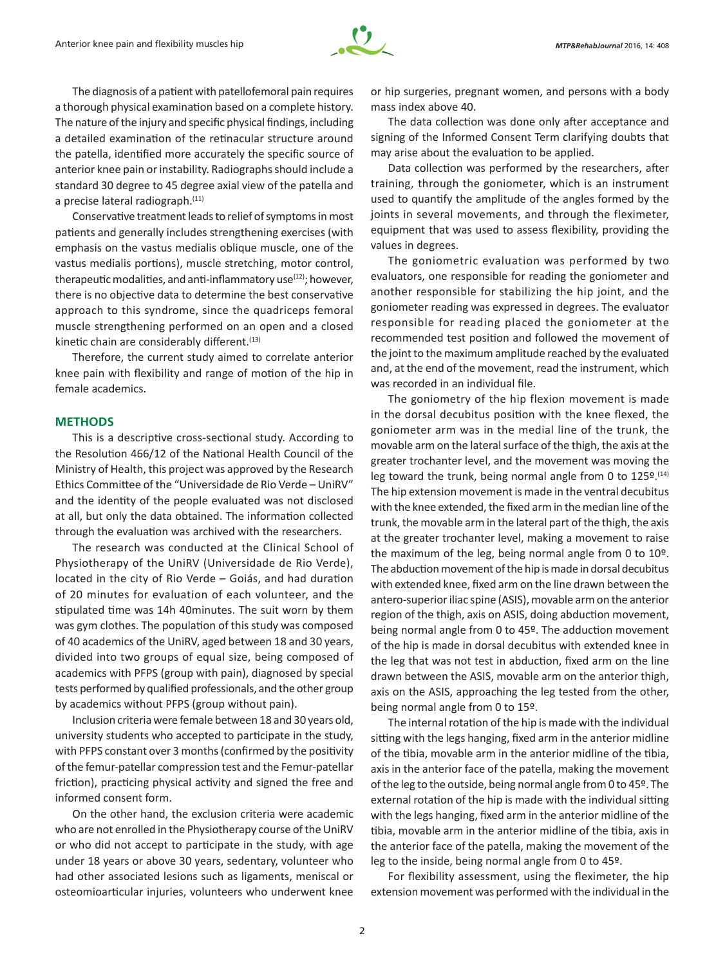

The diagnosis of a patient with patellofemoral pain requires a thorough physical examination based on a complete history. The nature of the injury and specific physical findings, including a detailed examination of the retinacular structure around the patella, identified more accurately the specific source of anterior knee pain or instability. Radiographs should include a standard 30 degree to 45 degree axial view of the patella and a precise lateral radiograph.<sup>(11)</sup>

Conservative treatment leads to relief of symptoms in most patients and generally includes strengthening exercises (with emphasis on the vastus medialis oblique muscle, one of the vastus medialis portions), muscle stretching, motor control, therapeutic modalities, and anti-inflammatory use<sup>(12)</sup>; however, there is no objective data to determine the best conservative approach to this syndrome, since the quadriceps femoral muscle strengthening performed on an open and a closed kinetic chain are considerably different.<sup>(13)</sup>

Therefore, the current study aimed to correlate anterior knee pain with flexibility and range of motion of the hip in female academics.

## **METHODS**

This is a descriptive cross-sectional study. According to the Resolution 466/12 of the National Health Council of the Ministry of Health, this project was approved by the Research Ethics Committee of the "Universidade de Rio Verde – UniRV" and the identity of the people evaluated was not disclosed at all, but only the data obtained. The information collected through the evaluation was archived with the researchers.

The research was conducted at the Clinical School of Physiotherapy of the UniRV (Universidade de Rio Verde), located in the city of Rio Verde – Goiás, and had duration of 20 minutes for evaluation of each volunteer, and the stipulated time was 14h 40minutes. The suit worn by them was gym clothes. The population of this study was composed of 40 academics of the UniRV, aged between 18 and 30 years, divided into two groups of equal size, being composed of academics with PFPS (group with pain), diagnosed by special tests performed by qualified professionals, and the other group by academics without PFPS (group without pain).

Inclusion criteria were female between 18 and 30 years old, university students who accepted to participate in the study, with PFPS constant over 3 months (confirmed by the positivity of the femur-patellar compression test and the Femur-patellar friction), practicing physical activity and signed the free and informed consent form.

On the other hand, the exclusion criteria were academic who are not enrolled in the Physiotherapy course of the UniRV or who did not accept to participate in the study, with age under 18 years or above 30 years, sedentary, volunteer who had other associated lesions such as ligaments, meniscal or osteomioarticular injuries, volunteers who underwent knee or hip surgeries, pregnant women, and persons with a body mass index above 40.

The data collection was done only after acceptance and signing of the Informed Consent Term clarifying doubts that may arise about the evaluation to be applied.

Data collection was performed by the researchers, after training, through the goniometer, which is an instrument used to quantify the amplitude of the angles formed by the joints in several movements, and through the fleximeter, equipment that was used to assess flexibility, providing the values in degrees.

The goniometric evaluation was performed by two evaluators, one responsible for reading the goniometer and another responsible for stabilizing the hip joint, and the goniometer reading was expressed in degrees. The evaluator responsible for reading placed the goniometer at the recommended test position and followed the movement of the joint to the maximum amplitude reached by the evaluated and, at the end of the movement, read the instrument, which was recorded in an individual file.

The goniometry of the hip flexion movement is made in the dorsal decubitus position with the knee flexed, the goniometer arm was in the medial line of the trunk, the movable arm on the lateral surface of the thigh, the axis at the greater trochanter level, and the movement was moving the leg toward the trunk, being normal angle from 0 to  $125^{\circ}$ .<sup>(14)</sup> The hip extension movement is made in the ventral decubitus with the knee extended, the fixed arm in the median line of the trunk, the movable arm in the lateral part of the thigh, the axis at the greater trochanter level, making a movement to raise the maximum of the leg, being normal angle from 0 to 10º. The abduction movement of the hip is made in dorsal decubitus with extended knee, fixed arm on the line drawn between the antero-superior iliac spine (ASIS), movable arm on the anterior region of the thigh, axis on ASIS, doing abduction movement, being normal angle from 0 to 45º. The adduction movement of the hip is made in dorsal decubitus with extended knee in the leg that was not test in abduction, fixed arm on the line drawn between the ASIS, movable arm on the anterior thigh, axis on the ASIS, approaching the leg tested from the other, being normal angle from 0 to 15º.

The internal rotation of the hip is made with the individual sitting with the legs hanging, fixed arm in the anterior midline of the tibia, movable arm in the anterior midline of the tibia, axis in the anterior face of the patella, making the movement of the leg to the outside, being normal angle from 0 to 45º. The external rotation of the hip is made with the individual sitting with the legs hanging, fixed arm in the anterior midline of the tibia, movable arm in the anterior midline of the tibia, axis in the anterior face of the patella, making the movement of the leg to the inside, being normal angle from 0 to 45º.

For flexibility assessment, using the fleximeter, the hip extension movement was performed with the individual in the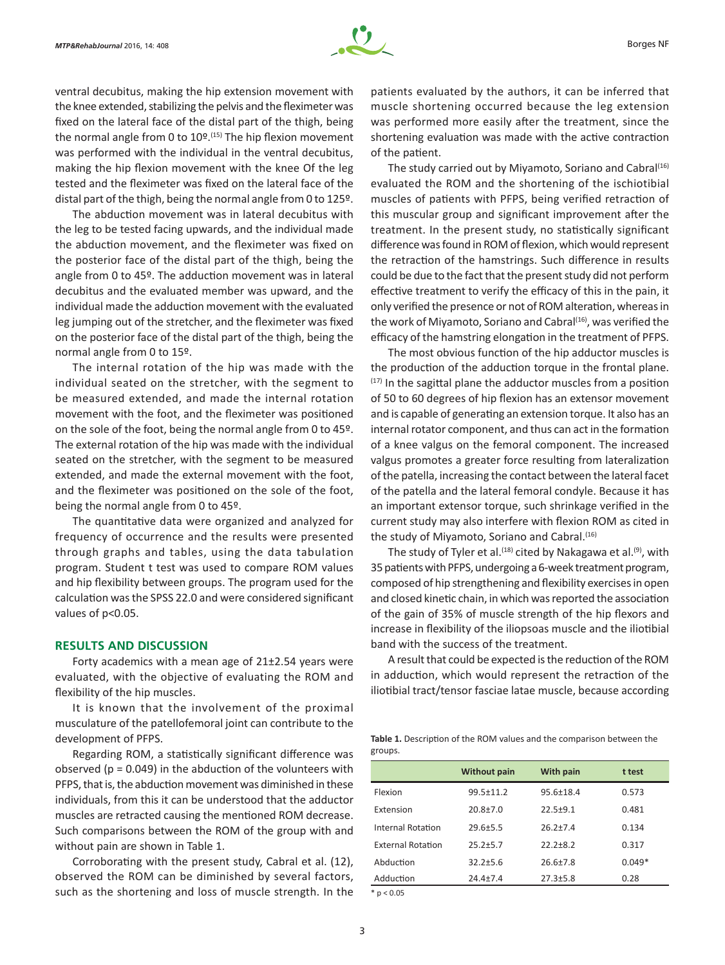

ventral decubitus, making the hip extension movement with the knee extended, stabilizing the pelvis and the fleximeter was fixed on the lateral face of the distal part of the thigh, being the normal angle from 0 to  $10<sup>°</sup>$ .<sup>(15)</sup> The hip flexion movement was performed with the individual in the ventral decubitus, making the hip flexion movement with the knee Of the leg tested and the fleximeter was fixed on the lateral face of the distal part of the thigh, being the normal angle from 0 to 125º.

The abduction movement was in lateral decubitus with the leg to be tested facing upwards, and the individual made the abduction movement, and the fleximeter was fixed on the posterior face of the distal part of the thigh, being the angle from 0 to 45º. The adduction movement was in lateral decubitus and the evaluated member was upward, and the individual made the adduction movement with the evaluated leg jumping out of the stretcher, and the fleximeter was fixed on the posterior face of the distal part of the thigh, being the normal angle from 0 to 15º.

The internal rotation of the hip was made with the individual seated on the stretcher, with the segment to be measured extended, and made the internal rotation movement with the foot, and the fleximeter was positioned on the sole of the foot, being the normal angle from 0 to 45º. The external rotation of the hip was made with the individual seated on the stretcher, with the segment to be measured extended, and made the external movement with the foot, and the fleximeter was positioned on the sole of the foot, being the normal angle from 0 to 45º.

The quantitative data were organized and analyzed for frequency of occurrence and the results were presented through graphs and tables, using the data tabulation program. Student t test was used to compare ROM values and hip flexibility between groups. The program used for the calculation was the SPSS 22.0 and were considered significant values of p<0.05.

## **RESULTS AND DISCUSSION**

Forty academics with a mean age of 21±2.54 years were evaluated, with the objective of evaluating the ROM and flexibility of the hip muscles.

It is known that the involvement of the proximal musculature of the patellofemoral joint can contribute to the development of PFPS.

Regarding ROM, a statistically significant difference was observed ( $p = 0.049$ ) in the abduction of the volunteers with PFPS, that is, the abduction movement was diminished in these individuals, from this it can be understood that the adductor muscles are retracted causing the mentioned ROM decrease. Such comparisons between the ROM of the group with and without pain are shown in Table 1.

Corroborating with the present study, Cabral et al. (12), observed the ROM can be diminished by several factors, such as the shortening and loss of muscle strength. In the

patients evaluated by the authors, it can be inferred that muscle shortening occurred because the leg extension was performed more easily after the treatment, since the shortening evaluation was made with the active contraction of the patient.

The study carried out by Miyamoto, Soriano and Cabral<sup>(16)</sup> evaluated the ROM and the shortening of the ischiotibial muscles of patients with PFPS, being verified retraction of this muscular group and significant improvement after the treatment. In the present study, no statistically significant difference was found in ROM of flexion, which would represent the retraction of the hamstrings. Such difference in results could be due to the fact that the present study did not perform effective treatment to verify the efficacy of this in the pain, it only verified the presence or not of ROM alteration, whereas in the work of Miyamoto, Soriano and Cabral<sup>(16)</sup>, was verified the efficacy of the hamstring elongation in the treatment of PFPS.

The most obvious function of the hip adductor muscles is the production of the adduction torque in the frontal plane. (17) In the sagittal plane the adductor muscles from a position of 50 to 60 degrees of hip flexion has an extensor movement and is capable of generating an extension torque. It also has an internal rotator component, and thus can act in the formation of a knee valgus on the femoral component. The increased valgus promotes a greater force resulting from lateralization of the patella, increasing the contact between the lateral facet of the patella and the lateral femoral condyle. Because it has an important extensor torque, such shrinkage verified in the current study may also interfere with flexion ROM as cited in the study of Miyamoto, Soriano and Cabral.<sup>(16)</sup>

The study of Tyler et al.<sup>(18)</sup> cited by Nakagawa et al.<sup>(9)</sup>, with 35patients with PFPS, undergoing a 6-week treatment program, composed of hip strengthening and flexibility exercises in open and closed kinetic chain, in which was reported the association of the gain of 35% of muscle strength of the hip flexors and increase in flexibility of the iliopsoas muscle and the iliotibial band with the success of the treatment.

A result that could be expected is the reduction of the ROM in adduction, which would represent the retraction of the iliotibial tract/tensor fasciae latae muscle, because according

**Table 1.** Description of the ROM values and the comparison between the groups.

|                          | <b>Without pain</b> | <b>With pain</b> | t test   |
|--------------------------|---------------------|------------------|----------|
| Flexion                  | $99.5 \pm 11.2$     | $95.6 \pm 18.4$  | 0.573    |
| Extension                | $20.8 + 7.0$        | $22.5 + 9.1$     | 0.481    |
| Internal Rotation        | $29.6 + 5.5$        | $26.2 + 7.4$     | 0.134    |
| <b>External Rotation</b> | $25.2 + 5.7$        | $22.2 + 8.2$     | 0.317    |
| Abduction                | $32.2 + 5.6$        | $26.6 \pm 7.8$   | $0.049*$ |
| Adduction                | $24.4 + 7.4$        | $27.3 \pm 5.8$   | 0.28     |
| .                        |                     |                  |          |

 $*$  p < 0.05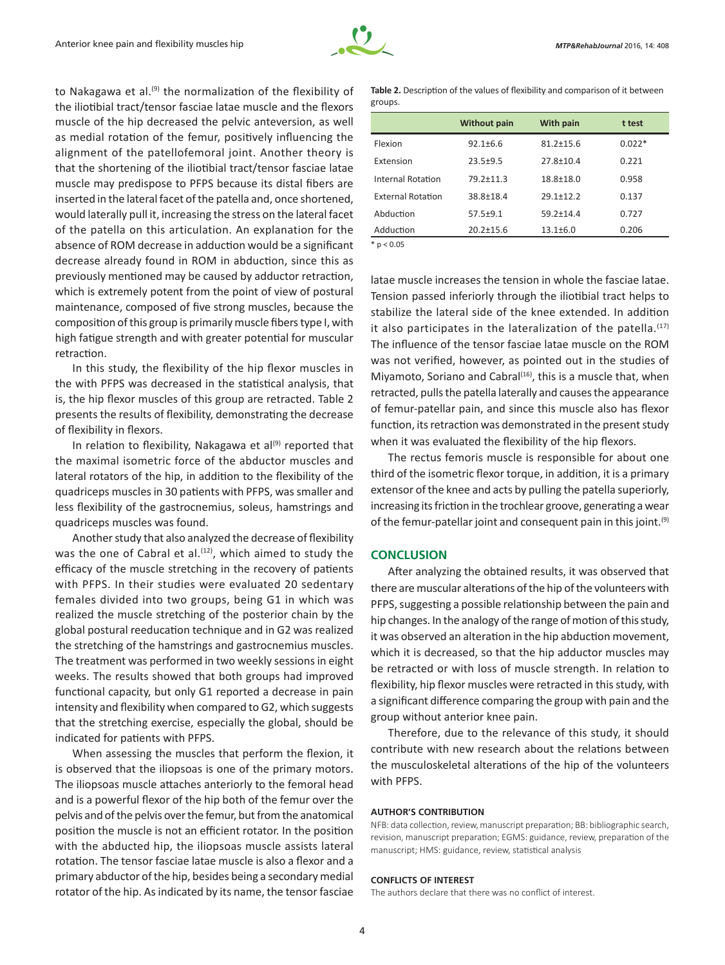

to Nakagawa et al. $(9)$  the normalization of the flexibility of the iliotibial tract/tensor fasciae latae muscle and the flexors muscle of the hip decreased the pelvic anteversion, as well as medial rotation of the femur, positively influencing the alignment of the patellofemoral joint. Another theory is that the shortening of the iliotibial tract/tensor fasciae latae muscle may predispose to PFPS because its distal fibers are inserted in the lateral facet of the patella and, once shortened, would laterally pull it, increasing the stress on the lateral facet of the patella on this articulation. An explanation for the absence of ROM decrease in adduction would be a significant decrease already found in ROM in abduction, since this as previously mentioned may be caused by adductor retraction, which is extremely potent from the point of view of postural maintenance, composed of five strong muscles, because the composition of this group is primarily muscle fibers type I, with high fatigue strength and with greater potential for muscular retraction.

In this study, the flexibility of the hip flexor muscles in the with PFPS was decreased in the statistical analysis, that is, the hip flexor muscles of this group are retracted. Table 2 presents the results of flexibility, demonstrating the decrease of flexibility in flexors.

In relation to flexibility, Nakagawa et al $^{(9)}$  reported that the maximal isometric force of the abductor muscles and lateral rotators of the hip, in addition to the flexibility of the quadriceps muscles in 30 patients with PFPS, was smaller and less flexibility of the gastrocnemius, soleus, hamstrings and quadriceps muscles was found.

Another study that also analyzed the decrease of flexibility was the one of Cabral et al.<sup>(12)</sup>, which aimed to study the efficacy of the muscle stretching in the recovery of patients with PFPS. In their studies were evaluated 20 sedentary females divided into two groups, being G1 in which was realized the muscle stretching of the posterior chain by the global postural reeducation technique and in G2 was realized the stretching of the hamstrings and gastrocnemius muscles. The treatment was performed in two weekly sessions in eight weeks. The results showed that both groups had improved functional capacity, but only G1 reported a decrease in pain intensity and flexibility when compared to G2, which suggests that the stretching exercise, especially the global, should be indicated for patients with PFPS.

When assessing the muscles that perform the flexion, it is observed that the iliopsoas is one of the primary motors. The iliopsoas muscle attaches anteriorly to the femoral head and is a powerful flexor of the hip both of the femur over the pelvis and of the pelvis over the femur, but from the anatomical position the muscle is not an efficient rotator. In the position with the abducted hip, the iliopsoas muscle assists lateral rotation. The tensor fasciae latae muscle is also a flexor and a primary abductor of the hip, besides being a secondary medial rotator of the hip. As indicated by its name, the tensor fasciae **Table 2.** Description of the values of flexibility and comparison of it between groups.

|                              | <b>Without pain</b> | <b>With pain</b> | t test   |
|------------------------------|---------------------|------------------|----------|
| Flexion                      | $92.1 + 6.6$        | $81.2 + 15.6$    | $0.022*$ |
| Extension                    | $23.5 + 9.5$        | $27.8 \pm 10.4$  | 0.221    |
| Internal Rotation            | $79.2 + 11.3$       | $18.8 + 18.0$    | 0.958    |
| <b>External Rotation</b>     | 38.8±18.4           | $29.1 + 12.2$    | 0.137    |
| Abduction                    | $57.5 + 9.1$        | $59.2 \pm 14.4$  | 0.727    |
| Adduction                    | $20.2 + 15.6$       | $13.1 \pm 6.0$   | 0.206    |
| $\ddot{\phantom{a}}$ . A A F |                     |                  |          |

 $*$  p < 0.05

latae muscle increases the tension in whole the fasciae latae. Tension passed inferiorly through the iliotibial tract helps to stabilize the lateral side of the knee extended. In addition it also participates in the lateralization of the patella. $(17)$ The influence of the tensor fasciae latae muscle on the ROM was not verified, however, as pointed out in the studies of Miyamoto, Soriano and Cabral<sup>(16)</sup>, this is a muscle that, when retracted, pulls the patella laterally and causes the appearance of femur‑patellar pain, and since this muscle also has flexor function, its retraction was demonstrated in the present study when it was evaluated the flexibility of the hip flexors.

The rectus femoris muscle is responsible for about one third of the isometric flexor torque, in addition, it is a primary extensor of the knee and acts by pulling the patella superiorly, increasing its friction in the trochlear groove, generating a wear of the femur-patellar joint and consequent pain in this joint. $(9)$ 

# **CONCLUSION**

After analyzing the obtained results, it was observed that there are muscular alterations of the hip of the volunteers with PFPS, suggesting a possible relationship between the pain and hip changes. In the analogy of the range of motion of this study, it was observed an alteration in the hip abduction movement, which it is decreased, so that the hip adductor muscles may be retracted or with loss of muscle strength. In relation to flexibility, hip flexor muscles were retracted in this study, with a significant difference comparing the group with pain and the group without anterior knee pain.

Therefore, due to the relevance of this study, it should contribute with new research about the relations between the musculoskeletal alterations of the hip of the volunteers with PFPS.

#### **AUTHOR'S CONTRIBUTION**

NFB: data collection, review, manuscript preparation; BB: bibliographic search, revision, manuscript preparation; EGMS: guidance, review, preparation of the manuscript; HMS: guidance, review, statistical analysis

#### **CONFLICTS OF INTEREST**

The authors declare that there was no conflict of interest.